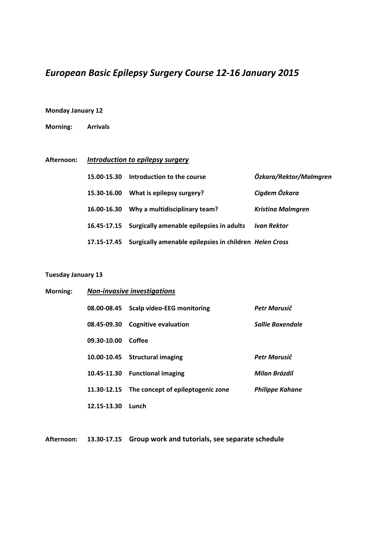# *European Basic Epilepsy Surgery Course 12‐16 January 2015*

#### **Monday January 12**

**Morning: Arrivals**

## **Afternoon:** *Introduction to epilepsy surgery*

| 15.00-15.30 Introduction to the course                             | Özkara/Rektor/Malmaren   |
|--------------------------------------------------------------------|--------------------------|
| 15.30-16.00 What is epilepsy surgery?                              | Cigdem Özkara            |
| 16.00-16.30 Why a multidisciplinary team?                          | <b>Kristina Malmgren</b> |
| 16.45-17.15 Surgically amenable epilepsies in adults               | Ivan Rektor              |
| 17.15-17.45 Surgically amenable epilepsies in children Helen Cross |                          |

#### **Tuesday January 13**

| Morning: | <b>Non-invasive investigations</b> |                                   |                        |  |
|----------|------------------------------------|-----------------------------------|------------------------|--|
|          | 08.00-08.45                        | <b>Scalp video-EEG monitoring</b> | Petr Marusič           |  |
|          | 08.45-09.30                        | <b>Cognitive evaluation</b>       | Sallie Baxendale       |  |
|          | 09.30-10.00                        | Coffee                            |                        |  |
|          |                                    | 10.00-10.45 Structural imaging    | Petr Marusič           |  |
|          | 10.45-11.30                        | <b>Functional imaging</b>         | Milan Brázdil          |  |
|          | 11.30-12.15                        | The concept of epileptogenic zone | <b>Philippe Kahane</b> |  |
|          | 12.15-13.30                        | Lunch                             |                        |  |

**Afternoon: 13.30‐17.15 Group work and tutorials, see separate schedule**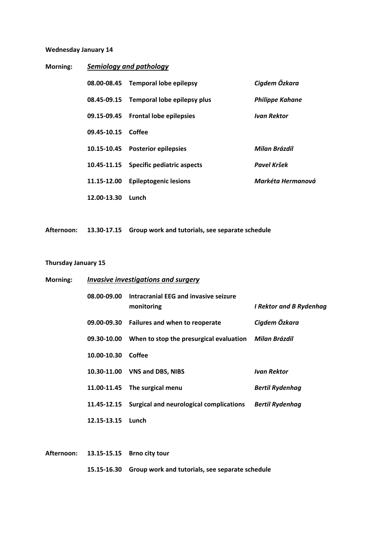#### **Wednesday January 14**

| Morning: | <b>Semiology and pathology</b> |                                         |                        |  |
|----------|--------------------------------|-----------------------------------------|------------------------|--|
|          | 08.00-08.45                    | <b>Temporal lobe epilepsy</b>           | Cigdem Özkara          |  |
|          |                                | 08.45-09.15 Temporal lobe epilepsy plus | <b>Philippe Kahane</b> |  |
|          |                                | 09.15-09.45 Frontal lobe epilepsies     | <b>Ivan Rektor</b>     |  |
|          | 09.45-10.15                    | Coffee                                  |                        |  |
|          | 10.15-10.45                    | <b>Posterior epilepsies</b>             | Milan Brázdil          |  |
|          |                                | 10.45-11.15 Specific pediatric aspects  | Pavel Kršek            |  |
|          | 11.15-12.00                    | <b>Epileptogenic lesions</b>            | Markéta Hermanová      |  |
|          | 12.00-13.30                    | Lunch                                   |                        |  |

**Afternoon: 13.30‐17.15 Group work and tutorials, see separate schedule**

### **Thursday January 15**

| Morning: |             | Invasive investigations and surgery                             |                                |  |
|----------|-------------|-----------------------------------------------------------------|--------------------------------|--|
|          |             | 08.00-09.00 Intracranial EEG and invasive seizure<br>monitoring | <b>I Rektor and B Rydenhag</b> |  |
|          |             | 09.00-09.30 Failures and when to reoperate                      | Cigdem Özkara                  |  |
|          | 09.30-10.00 | When to stop the presurgical evaluation                         | Milan Brázdil                  |  |
|          | 10.00-10.30 | Coffee                                                          |                                |  |
|          | 10.30-11.00 | <b>VNS and DBS, NIBS</b>                                        | <b>Ivan Rektor</b>             |  |
|          | 11.00-11.45 | The surgical menu                                               | <b>Bertil Rydenhag</b>         |  |
|          | 11.45-12.15 | Surgical and neurological complications                         | <b>Bertil Rydenhag</b>         |  |
|          | 12.15-13.15 | Lunch                                                           |                                |  |

|  | Afternoon: 13.15-15.15 Brno city tour                       |
|--|-------------------------------------------------------------|
|  | 15.15-16.30 Group work and tutorials, see separate schedule |